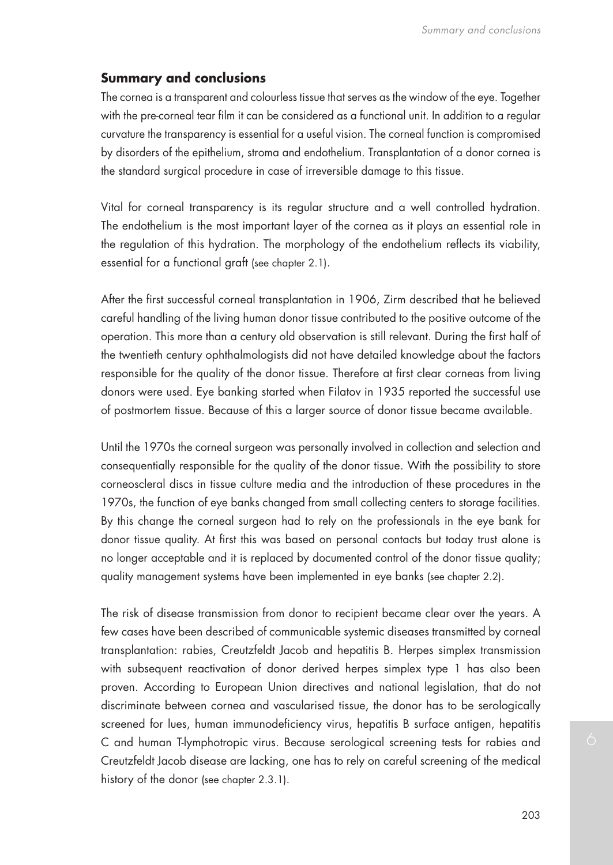## **Summary and conclusions**

The cornea is a transparent and colourless tissue that serves as the window of the eye. Together with the pre-corneal tear film it can be considered as a functional unit. In addition to a regular curvature the transparency is essential for a useful vision. The corneal function is compromised by disorders of the epithelium, stroma and endothelium. Transplantation of a donor cornea is the standard surgical procedure in case of irreversible damage to this tissue.

Vital for corneal transparency is its regular structure and a well controlled hydration. The endothelium is the most important layer of the cornea as it plays an essential role in the regulation of this hydration. The morphology of the endothelium reflects its viability, essential for a functional graft (see chapter 2.1).

After the first successful corneal transplantation in 1906, Zirm described that he believed careful handling of the living human donor tissue contributed to the positive outcome of the operation. This more than a century old observation is still relevant. During the first half of the twentieth century ophthalmologists did not have detailed knowledge about the factors responsible for the quality of the donor tissue. Therefore at first clear corneas from living donors were used. Eye banking started when Filatov in 1935 reported the successful use of postmortem tissue. Because of this a larger source of donor tissue became available.

Until the 1970s the corneal surgeon was personally involved in collection and selection and consequentially responsible for the quality of the donor tissue. With the possibility to store corneoscleral discs in tissue culture media and the introduction of these procedures in the 1970s, the function of eye banks changed from small collecting centers to storage facilities. By this change the corneal surgeon had to rely on the professionals in the eye bank for donor tissue quality. At first this was based on personal contacts but today trust alone is no longer acceptable and it is replaced by documented control of the donor tissue quality; quality management systems have been implemented in eye banks (see chapter 2.2).

The risk of disease transmission from donor to recipient became clear over the years. A few cases have been described of communicable systemic diseases transmitted by corneal transplantation: rabies, Creutzfeldt Jacob and hepatitis B. Herpes simplex transmission with subsequent reactivation of donor derived herpes simplex type 1 has also been proven. According to European Union directives and national legislation, that do not discriminate between cornea and vascularised tissue, the donor has to be serologically screened for lues, human immunodeficiency virus, hepatitis B surface antigen, hepatitis C and human T-lymphotropic virus. Because serological screening tests for rabies and Creutzfeldt Jacob disease are lacking, one has to rely on careful screening of the medical history of the donor (see chapter 2.3.1).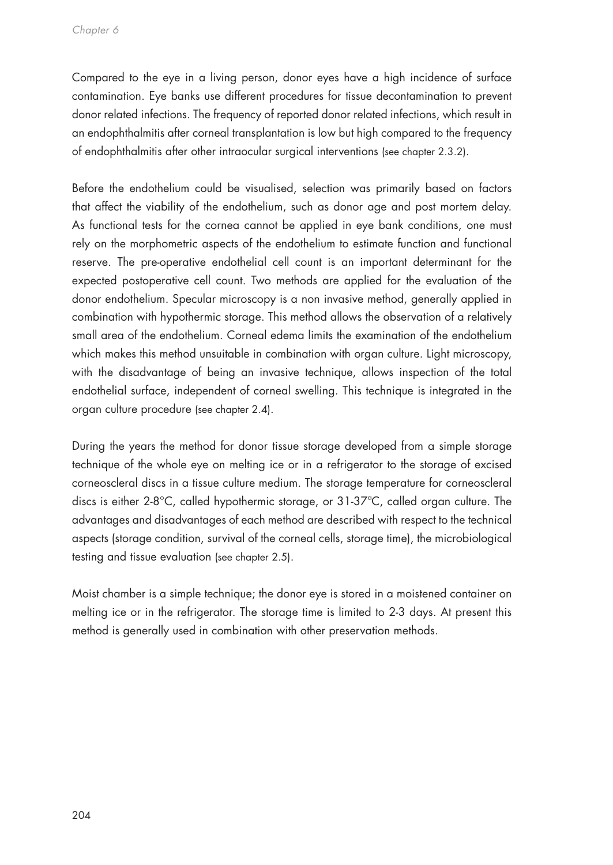Compared to the eye in a living person, donor eyes have a high incidence of surface contamination. Eye banks use different procedures for tissue decontamination to prevent donor related infections. The frequency of reported donor related infections, which result in an endophthalmitis after corneal transplantation is low but high compared to the frequency of endophthalmitis after other intraocular surgical interventions (see chapter 2.3.2).

Before the endothelium could be visualised, selection was primarily based on factors that affect the viability of the endothelium, such as donor age and post mortem delay. As functional tests for the cornea cannot be applied in eye bank conditions, one must rely on the morphometric aspects of the endothelium to estimate function and functional reserve. The pre-operative endothelial cell count is an important determinant for the expected postoperative cell count. Two methods are applied for the evaluation of the donor endothelium. Specular microscopy is a non invasive method, generally applied in combination with hypothermic storage. This method allows the observation of a relatively small area of the endothelium. Corneal edema limits the examination of the endothelium which makes this method unsuitable in combination with organ culture. Light microscopy, with the disadvantage of being an invasive technique, allows inspection of the total endothelial surface, independent of corneal swelling. This technique is integrated in the organ culture procedure (see chapter 2.4).

During the years the method for donor tissue storage developed from a simple storage technique of the whole eye on melting ice or in a refrigerator to the storage of excised corneoscleral discs in a tissue culture medium. The storage temperature for corneoscleral discs is either 2-8°C, called hypothermic storage, or 31-37ªC, called organ culture. The advantages and disadvantages of each method are described with respect to the technical aspects (storage condition, survival of the corneal cells, storage time), the microbiological testing and tissue evaluation (see chapter 2.5).

Moist chamber is a simple technique; the donor eye is stored in a moistened container on melting ice or in the refrigerator. The storage time is limited to 2-3 days. At present this method is generally used in combination with other preservation methods.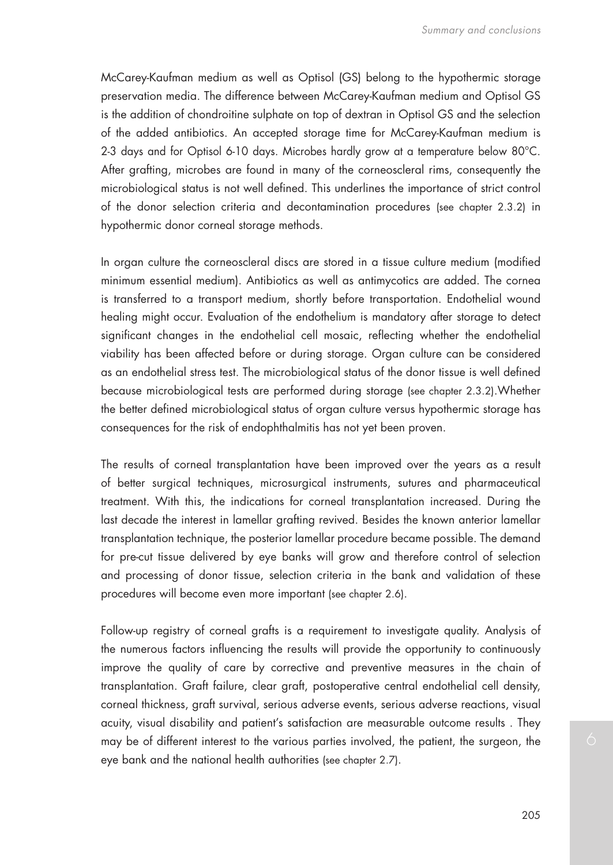McCarey-Kaufman medium as well as Optisol (GS) belong to the hypothermic storage preservation media. The difference between McCarey-Kaufman medium and Optisol GS is the addition of chondroitine sulphate on top of dextran in Optisol GS and the selection of the added antibiotics. An accepted storage time for McCarey-Kaufman medium is 2-3 days and for Optisol 6-10 days. Microbes hardly grow at a temperature below 80°C. After grafting, microbes are found in many of the corneoscleral rims, consequently the microbiological status is not well defined. This underlines the importance of strict control of the donor selection criteria and decontamination procedures (see chapter 2.3.2) in hypothermic donor corneal storage methods.

In organ culture the corneoscleral discs are stored in a tissue culture medium (modified minimum essential medium). Antibiotics as well as antimycotics are added. The cornea is transferred to a transport medium, shortly before transportation. Endothelial wound healing might occur. Evaluation of the endothelium is mandatory after storage to detect significant changes in the endothelial cell mosaic, reflecting whether the endothelial viability has been affected before or during storage. Organ culture can be considered as an endothelial stress test. The microbiological status of the donor tissue is well defined because microbiological tests are performed during storage (see chapter 2.3.2).Whether the better defined microbiological status of organ culture versus hypothermic storage has consequences for the risk of endophthalmitis has not yet been proven.

The results of corneal transplantation have been improved over the years as a result of better surgical techniques, microsurgical instruments, sutures and pharmaceutical treatment. With this, the indications for corneal transplantation increased. During the last decade the interest in lamellar grafting revived. Besides the known anterior lamellar transplantation technique, the posterior lamellar procedure became possible. The demand for pre-cut tissue delivered by eye banks will grow and therefore control of selection and processing of donor tissue, selection criteria in the bank and validation of these procedures will become even more important (see chapter 2.6).

Follow-up registry of corneal grafts is a requirement to investigate quality. Analysis of the numerous factors influencing the results will provide the opportunity to continuously improve the quality of care by corrective and preventive measures in the chain of transplantation. Graft failure, clear graft, postoperative central endothelial cell density, corneal thickness, graft survival, serious adverse events, serious adverse reactions, visual acuity, visual disability and patient's satisfaction are measurable outcome results . They may be of different interest to the various parties involved, the patient, the surgeon, the eye bank and the national health authorities (see chapter 2.7).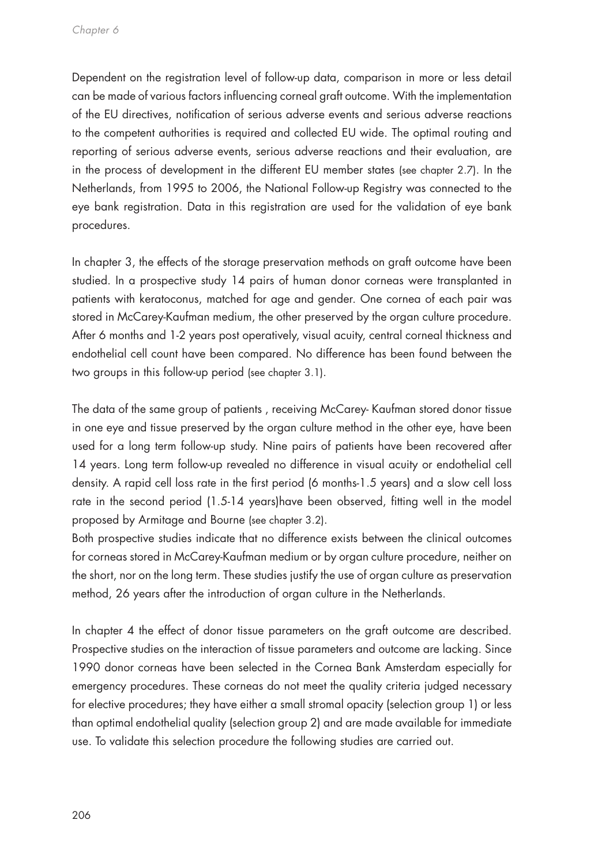Dependent on the registration level of follow-up data, comparison in more or less detail can be made of various factors influencing corneal graft outcome. With the implementation of the EU directives, notification of serious adverse events and serious adverse reactions to the competent authorities is required and collected EU wide. The optimal routing and reporting of serious adverse events, serious adverse reactions and their evaluation, are in the process of development in the different EU member states (see chapter 2.7). In the Netherlands, from 1995 to 2006, the National Follow-up Registry was connected to the eye bank registration. Data in this registration are used for the validation of eye bank procedures.

In chapter 3, the effects of the storage preservation methods on graft outcome have been studied. In a prospective study 14 pairs of human donor corneas were transplanted in patients with keratoconus, matched for age and gender. One cornea of each pair was stored in McCarey-Kaufman medium, the other preserved by the organ culture procedure. After 6 months and 1-2 years post operatively, visual acuity, central corneal thickness and endothelial cell count have been compared. No difference has been found between the two groups in this follow-up period (see chapter 3.1).

The data of the same group of patients , receiving McCarey- Kaufman stored donor tissue in one eye and tissue preserved by the organ culture method in the other eye, have been used for a long term follow-up study. Nine pairs of patients have been recovered after 14 years. Long term follow-up revealed no difference in visual acuity or endothelial cell density. A rapid cell loss rate in the first period (6 months-1.5 years) and a slow cell loss rate in the second period (1.5-14 years)have been observed, fitting well in the model proposed by Armitage and Bourne (see chapter 3.2).

Both prospective studies indicate that no difference exists between the clinical outcomes for corneas stored in McCarey-Kaufman medium or by organ culture procedure, neither on the short, nor on the long term. These studies justify the use of organ culture as preservation method, 26 years after the introduction of organ culture in the Netherlands.

In chapter 4 the effect of donor tissue parameters on the graft outcome are described. Prospective studies on the interaction of tissue parameters and outcome are lacking. Since 1990 donor corneas have been selected in the Cornea Bank Amsterdam especially for emergency procedures. These corneas do not meet the quality criteria judged necessary for elective procedures; they have either a small stromal opacity (selection group 1) or less than optimal endothelial quality (selection group 2) and are made available for immediate use. To validate this selection procedure the following studies are carried out.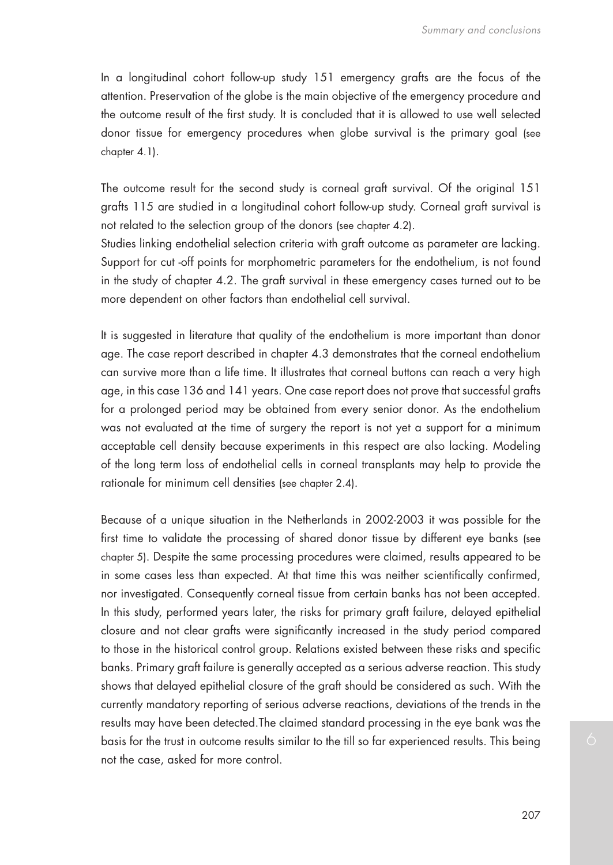In a longitudinal cohort follow-up study 151 emergency grafts are the focus of the attention. Preservation of the globe is the main objective of the emergency procedure and the outcome result of the first study. It is concluded that it is allowed to use well selected donor tissue for emergency procedures when globe survival is the primary goal (see chapter 4.1).

The outcome result for the second study is corneal graft survival. Of the original 151 grafts 115 are studied in a longitudinal cohort follow-up study. Corneal graft survival is not related to the selection group of the donors (see chapter 4.2).

Studies linking endothelial selection criteria with graft outcome as parameter are lacking. Support for cut -off points for morphometric parameters for the endothelium, is not found in the study of chapter 4.2. The graft survival in these emergency cases turned out to be more dependent on other factors than endothelial cell survival.

It is suggested in literature that quality of the endothelium is more important than donor age. The case report described in chapter 4.3 demonstrates that the corneal endothelium can survive more than a life time. It illustrates that corneal buttons can reach a very high age, in this case 136 and 141 years. One case report does not prove that successful grafts for a prolonged period may be obtained from every senior donor. As the endothelium was not evaluated at the time of surgery the report is not yet a support for a minimum acceptable cell density because experiments in this respect are also lacking. Modeling of the long term loss of endothelial cells in corneal transplants may help to provide the rationale for minimum cell densities (see chapter 2.4).

Because of a unique situation in the Netherlands in 2002-2003 it was possible for the first time to validate the processing of shared donor tissue by different eye banks (see chapter 5). Despite the same processing procedures were claimed, results appeared to be in some cases less than expected. At that time this was neither scientifically confirmed, nor investigated. Consequently corneal tissue from certain banks has not been accepted. In this study, performed years later, the risks for primary graft failure, delayed epithelial closure and not clear grafts were significantly increased in the study period compared to those in the historical control group. Relations existed between these risks and specific banks. Primary graft failure is generally accepted as a serious adverse reaction. This study shows that delayed epithelial closure of the graft should be considered as such. With the currently mandatory reporting of serious adverse reactions, deviations of the trends in the results may have been detected.The claimed standard processing in the eye bank was the basis for the trust in outcome results similar to the till so far experienced results. This being not the case, asked for more control.